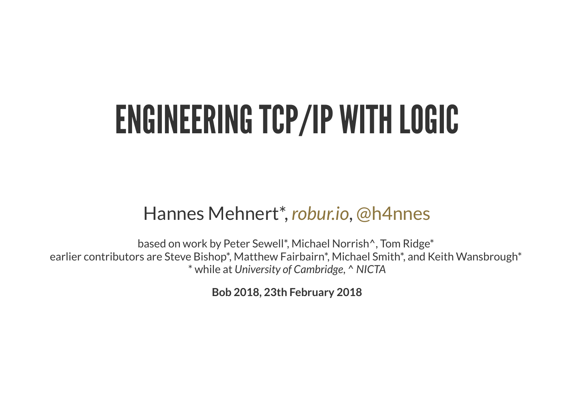#### ENGINEERINGTCP/IP WITHLOGIC

#### Hannes Mehnert\*, [robur.io](http://robur.io/), [@h4nnes](https://twitter.com/h4nnes)

based on work by Peter Sewell\*, Michael Norrish^, Tom Ridge\* earlier contributors are Steve Bishop\*, Matthew Fairbairn\*, Michael Smith\*, and Keith Wansbrough\* \* while at *University of Cambridge*, ^ *NICTA*

**Bob 2018, 23th February 2018**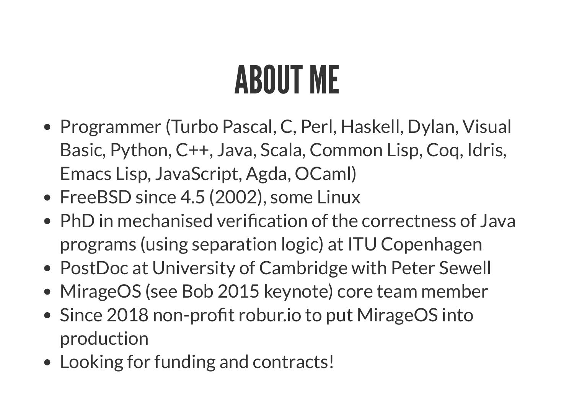## ABOUT ME

- Programmer (Turbo Pascal, C, Perl, Haskell, Dylan, Visual Basic, Python, C++, Java, Scala, Common Lisp, Coq, Idris, Emacs Lisp, JavaScript, Agda, OCaml)
- FreeBSD since 4.5 (2002), some Linux
- $\bullet$  PhD in mechanised verification of the correctness of Java programs (using separation logic) at ITU Copenhagen
- PostDoc at University of Cambridge with Peter Sewell
- MirageOS (see Bob 2015 keynote) core team member
- Since 2018 non-profit robur.io to put MirageOS into production
- Looking for funding and contracts!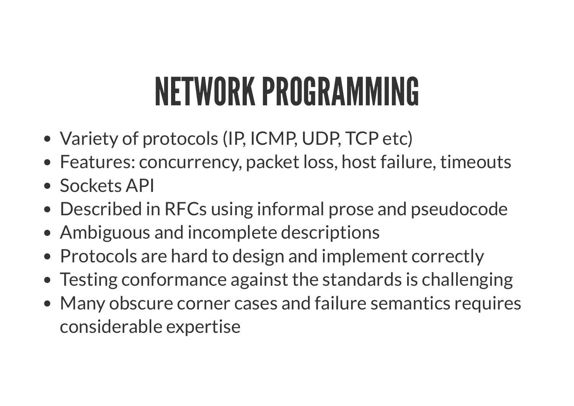### NETWORK PROGRAMMING

- Variety of protocols (IP, ICMP, UDP, TCP etc)
- Features: concurrency, packet loss, host failure, timeouts
- Sockets API
- Described in RFCs using informal prose and pseudocode
- Ambiguous and incomplete descriptions
- Protocols are hard to design and implement correctly
- Testing conformance against the standards is challenging
- Many obscure corner cases and failure semantics requires considerable expertise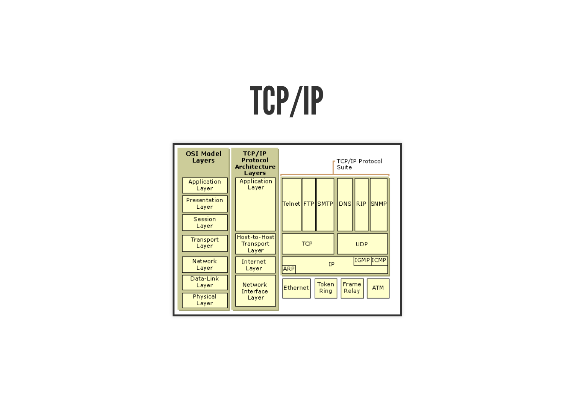### TCP/IP

| <b>OSI Model</b><br>Layers |                                     | TCP/IP<br>Protocol<br><b>Architecture</b><br>Layers |  | <b>TCP/IP Protocol</b><br>Suite                           |  |  |            |      |        |  |
|----------------------------|-------------------------------------|-----------------------------------------------------|--|-----------------------------------------------------------|--|--|------------|------|--------|--|
| Application<br>Layer       |                                     | Application<br>Layer                                |  |                                                           |  |  |            |      |        |  |
| Presentation<br>Layer      |                                     |                                                     |  | Telnet  FTP  SMTP                                         |  |  | <b>DNS</b> | RIP. | ISNMPI |  |
| Session<br>Layer           |                                     |                                                     |  |                                                           |  |  |            |      |        |  |
| Transport<br>Layer         | Host-to-Hostl<br>Transport<br>Layer |                                                     |  | <b>TCP</b>                                                |  |  | <b>UDP</b> |      |        |  |
| Network<br>Layer           |                                     | Internet<br>Layer                                   |  | IGMP ICMP<br>IP<br><b>ARP</b>                             |  |  |            |      |        |  |
| Data-Link<br>Layer         |                                     | Network<br>Interface                                |  | Token<br>Frame<br>Ethernet<br><b>ATM</b><br>Relay<br>Ring |  |  |            |      |        |  |
| Physical<br>Layer          |                                     | Layer                                               |  |                                                           |  |  |            |      |        |  |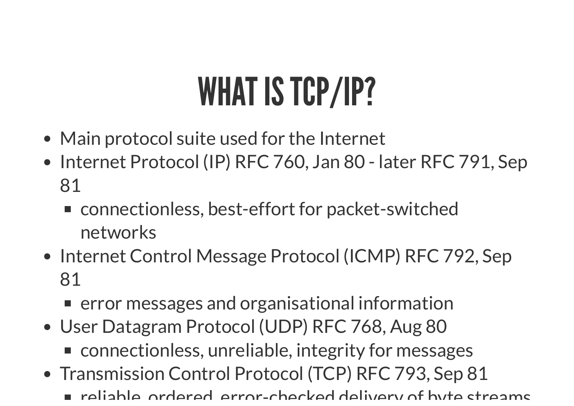## WHAT IS TCP/IP?

- Main protocol suite used for the Internet
- Internet Protocol (IP) RFC 760, Jan 80 later RFC 791, Sep 81
	- connectionless, best-effort for packet-switched networks
- Internet Control Message Protocol (ICMP) RFC 792, Sep 81
	- **EX EXECUTE:** error messages and organisational information
- User Datagram Protocol (UDP) RFC 768, Aug 80 ■ connectionless, unreliable, integrity for messages
- Transmission Control Protocol (TCP) RFC 793, Sep 81
	- reliable ordered error-checked delivery of byte streams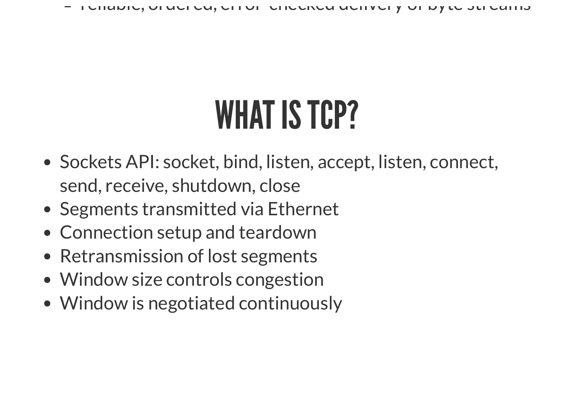reliable, ordered, error checked delivery of byte streams

### WHAT IS TCP?

- Sockets API: socket, bind, listen, accept, listen, connect, send, receive, shutdown, close
- Segments transmitted via Ethernet
- Connection setup and teardown
- Retransmission of lost segments
- Window size controls congestion
- Window is negotiated continuously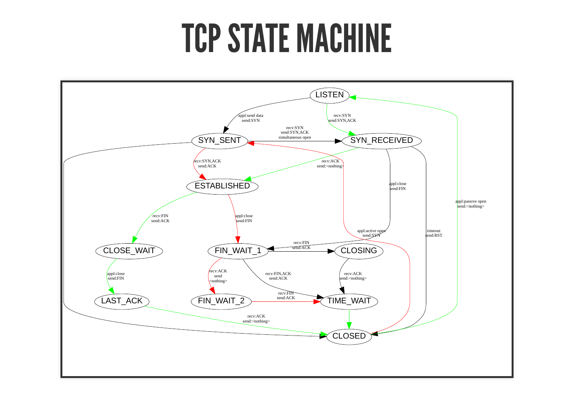#### **TCP STATE MACHINE**

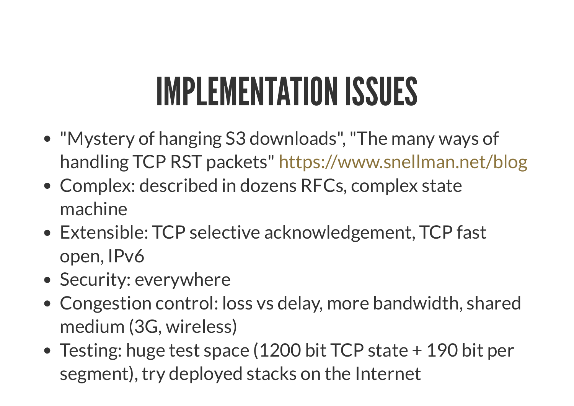### **IMPLEMENTATION ISSUES**

- "Mystery of hanging S3 downloads" , "The many ways of handling TCP RST packets" <https://www.snellman.net/blog>
- Complex: described in dozens RFCs, complex state machine
- Extensible: TCP selective acknowledgement, TCP fast open, IPv6
- Security: everywhere
- Congestion control: loss vs delay, more bandwidth, shared medium (3G, wireless)
- Testing: huge test space (1200 bit TCP state + 190 bit per segment), try deployed stacks on the Internet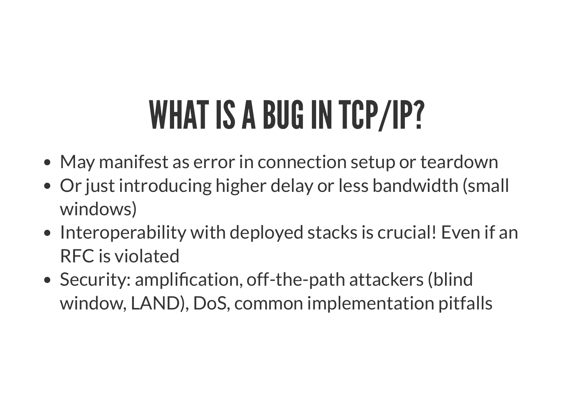## WHAT IS A BUG IN TCP/IP?

- May manifest as error in connection setup or teardown
- Or just introducing higher delay or less bandwidth (small windows)
- Interoperability with deployed stacks is crucial! Even if an RFC is violated
- Security: amplification, off-the-path attackers (blind window, LAND), DoS, common implementation pitfalls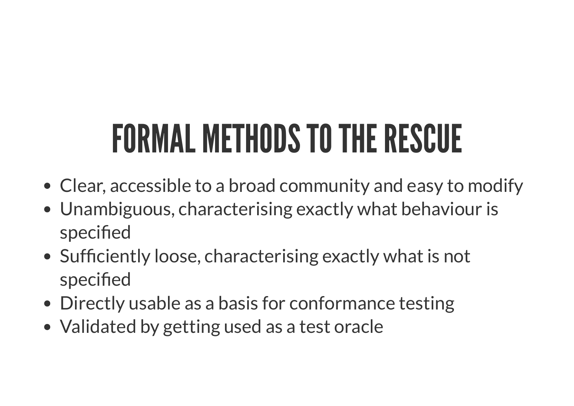## FORMAL METHODS TO THE RESCUE

- Clear, accessible to a broad community and easy to modify
- Unambiguous, characterising exactly what behaviour is specified
- Sufficiently loose, characterising exactly what is not specified
- Directly usable as a basis for conformance testing
- Validated by getting used as a test oracle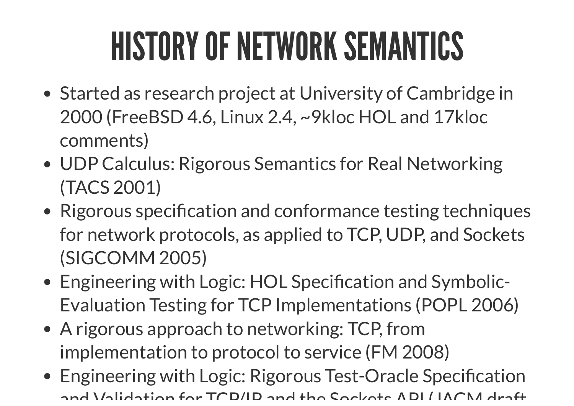## **HISTORY OF NETWORK SEMANTICS**

- Started as research project at University of Cambridge in 2000 (FreeBSD 4.6, Linux 2.4, ~9kloc HOL and 17kloc comments)
- UDP Calculus: Rigorous Semantics for Real Networking (TACS 2001)
- Rigorous specification and conformance testing techniques for network protocols, as applied to TCP, UDP, and Sockets (SIGCOMM 2005)
- Engineering with Logic: HOL Specification and Symbolic-Evaluation Testing for TCP Implementations (POPL 2006)
- A rigorous approach to networking: TCP, from implementation to protocol to service (FM 2008)
- Engineering with Logic: Rigorous Test-Oracle Specification and Validation for TCD/ID and the Cockets ADI / IACM draft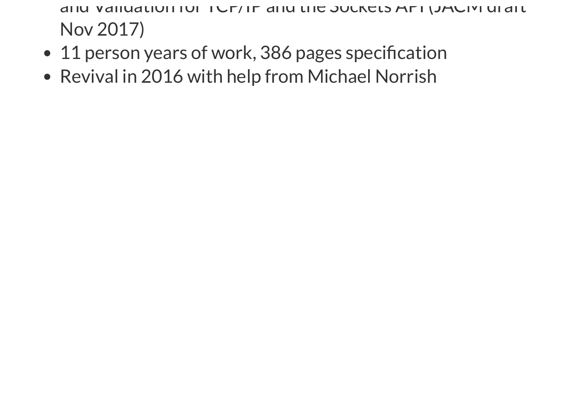and Vanuation for TCP/IP and the Sockets API (JACM draft Nov 2017)

- 11 person years of work, 386 pages specification
- Revival in 2016 with help from Michael Norrish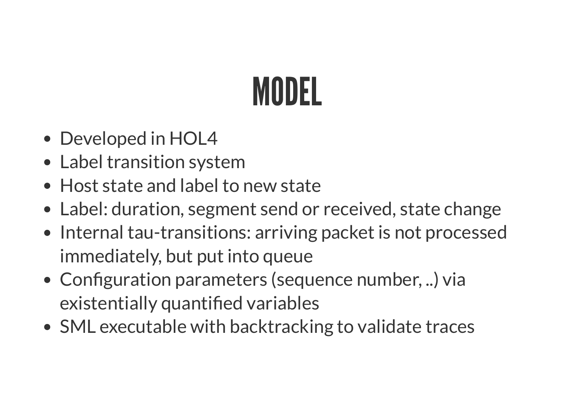## MODEL

- Developed in HOL4
- Label transition system
- Host state and label to new state
- Label: duration, segment send or received, state change
- Internal tau-transitions: arriving packet is not processed immediately, but put into queue
- Configuration parameters (sequence number, ..) via existentially quantified variables
- SML executable with backtracking to validate traces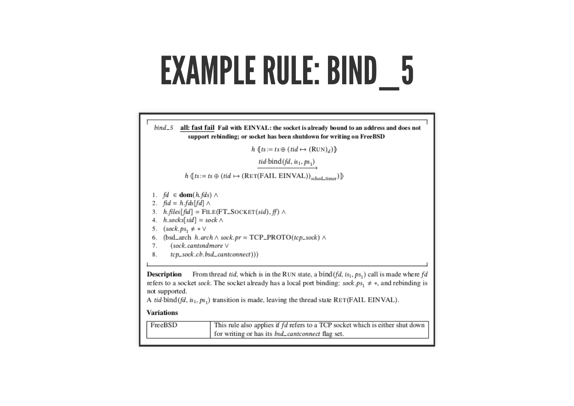#### EXAMPLE RULE: BIND \_ 5



#### **Variations**

| FreeBSD | This rule also applies if fd refers to a TCP socket which is either shut down |  |  |  |  |  |
|---------|-------------------------------------------------------------------------------|--|--|--|--|--|
|         | for writing or has its <i>bsd_cantconnect</i> flag set.                       |  |  |  |  |  |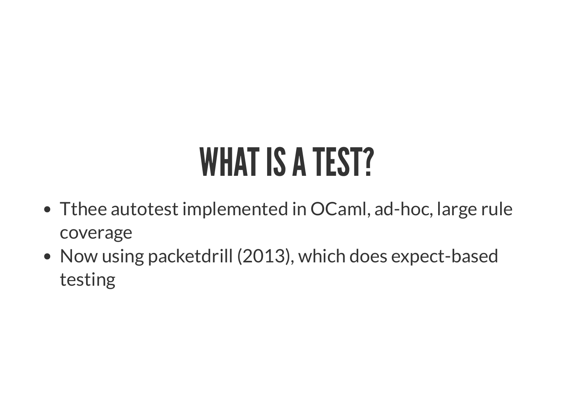### WHAT IS A TEST?

- Tthee autotest implemented in OCaml, ad-hoc, large rule coverage
- Now using packetdrill (2013), which does expect-based testing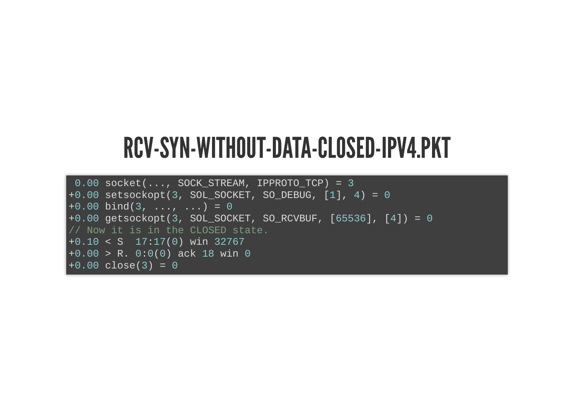#### RCV-SYN-WITHOUT-DATA-CLOSED-IPV4.PKT

```
0.00 socket(..., SOCK_STREAM, IPPROTO_TCP) = 3
+0.00 setsockopt(3, SOL_SOCKET, SO_DEBUG, [1], 4) = 0
+0.00 bind(3, ..., ...) = 0
+0.00 getsockopt(3, SOL_SOCKET, SO_RCVBUF, [65536], [4]) = 0
// Now it is in the CLOSED state.
+0.10 < S 17:17(0) win 32767
+0.00 > R. 0:0(0) ack 18 win 0
+0.00 \text{ close}(3) = 0
```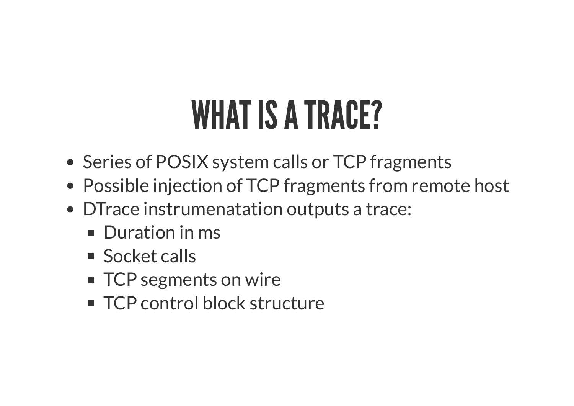#### WHAT IS A TRACE?

- Series of POSIX system calls or TCP fragments
- Possible injection of TCP fragments from remote host
- DTrace instrumenatation outputs a trace:
	- **Duration in ms**
	- Socket calls
	- TCP segments on wire
	- TCP control block structure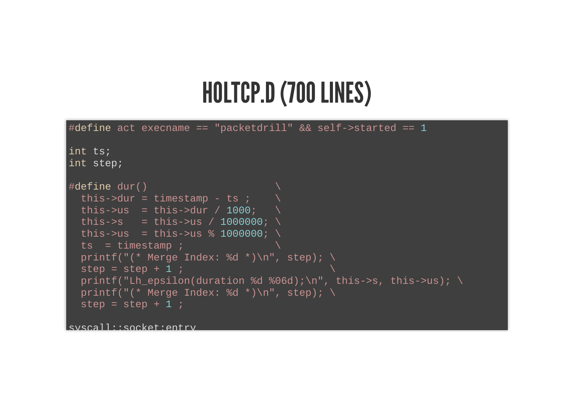#### HOLTCP.D (700 LINES)

```
\#define act execname == "packetdrill" && self->started == 1
int ts;
int step;
\#define dur()
  this->dur = timestamp - ts ;
  this->us = this->dur / 1000;
  this->s = this->us / 1000000; \
  this->us = this->us % 1000000; \
  ts = timestamp ;printf("(* Merge Index: %d *)\n"
, step); \
  step = step + 1 ;
  printf("Lh_epsilon(duration %d %06d);\n"
, this->s, this->us); \
  printf("(* Merge Index: %d *)\n"
, step); \
  step = step + 1 ;
```
syscall::socket:entry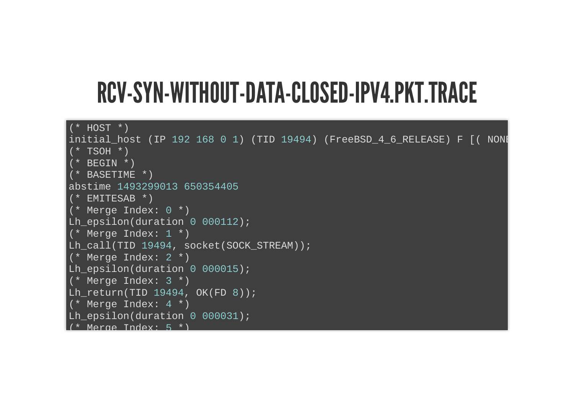#### RCV-SYN-WITHOUT-DATA-CLOSED-IPV4.PKT.TRACE

```
(* HOST *)
initial_host (IP 192 168 0 1) (TID 19494) (FreeBSD_4_6_RELEASE) F [( NONE
 * TSOH*)
   (* BEGIN *)
   (* BASETIME *)
abstime 1493299013 650354405
   (* EMITESAB *)
  Merge Index: 0 *)
Lh_epsilon(duration 0 000112);
  (* Merge Index: 1 *)
Lh_call(TID 19494, socket(SOCK_STREAM));
   (* Merge Index: 2 *)
Lh_epsilon(duration 0 000015);
(* Merge Index: 3 *)Lh_return(TID 19494, OK(FD 8));
  Merge Index: 4 \star )
Lh_epsilon(duration 0 000031);
   Merge Index: 5
```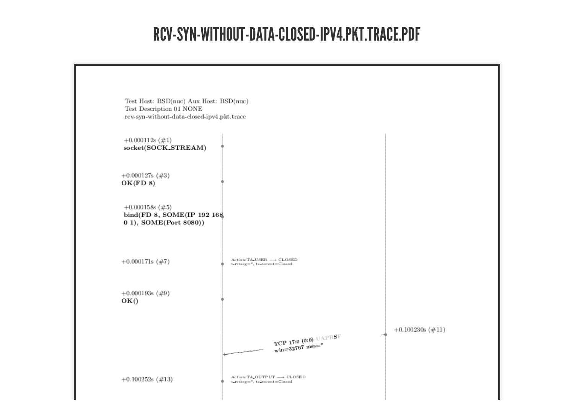#### RCV-SYN-WITHOUT-DATA-CLOSED-IPV4.PKT.TRACE.PDF

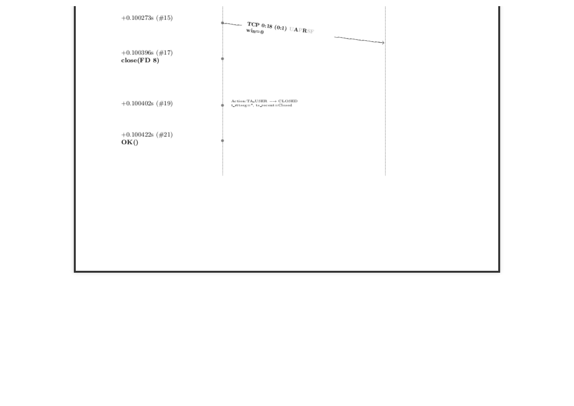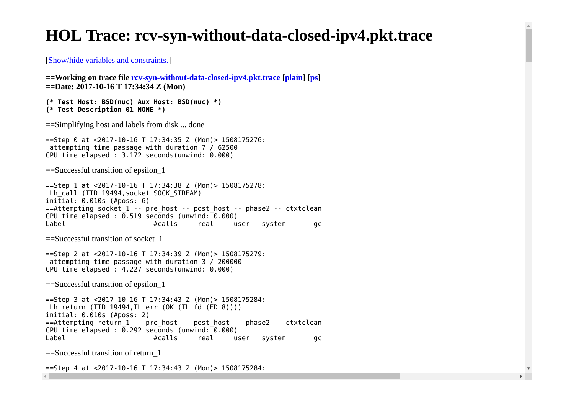#### **HOL Trace: rcv-syn-without-data-closed-ipv4.pkt.trace**

[Show/hide variables and constraints.]

```
==Working on trace file rcv-syn-without-data-closed-ipv4.pkt.trace [plain] [ps] 
==Date: 2017-10-16 T 17:34:34 Z (Mon)
```

```
(* Test Host: BSD(nuc) Aux Host: BSD(nuc) *)
(* Test Description 01 NONE *)
```
==Simplifying host and labels from disk ... done

==Step 0 at <2017-10-16 T 17:34:35 Z (Mon)> 1508175276: attempting time passage with duration 7 / 62500 CPU time elapsed : 3.172 seconds(unwind: 0.000)

==Successful transition of epsilon\_1

```
==Step 1 at <2017-10-16 T 17:34:38 Z (Mon)> 1508175278:
Lh call (TID 19494, socket SOCK STREAM)
initial: 0.010s (#poss: 6)
=Attempting socket 1 -- pre host -- post host -- phase2 -- ctxtclean
CPU time elapsed : \overline{0.519} seconds (unwind: \overline{0.000})
Label #calls real user system gc
```
==Successful transition of socket\_1

```
==Step 2 at <2017-10-16 T 17:34:39 Z (Mon)> 1508175279:
  attempting time passage with duration 3 / 200000
CPU time elapsed : 4.227 seconds(unwind: 0.000)
```

```
==Successful transition of epsilon_1
```
==Step 3 at <2017-10-16 T 17:34:43 Z (Mon)> 1508175284: Lh return (TID 19494,TL err (OK (TL fd  $(FD 8))$ )) initial: 0.010s (#poss: 2) ==Attempting return\_1 -- pre\_host -- post\_host -- phase2 -- ctxtclean CPU time elapsed :  $\overline{0.292}$  seconds (unwind:  $0.000$ ) Label #calls real user system gc

```
==Successful transition of return_1
```
==Step 4 at <2017-10-16 T 17:34:43 Z (Mon)> 1508175284:

 $\left\| \cdot \right\|$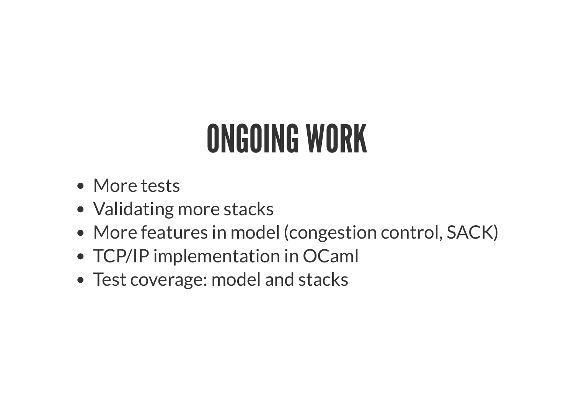## ONGOING WORK

- More tests
- Validating more stacks
- More features in model (congestion control, SACK)
- TCP/IP implementation in OCaml
- Test coverage: model and stacks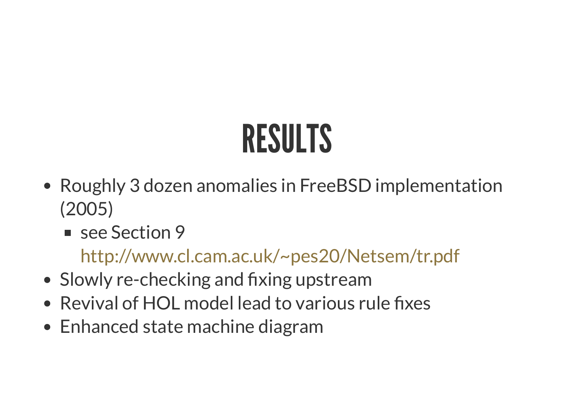# RESULTS

- Roughly 3 dozen anomalies in FreeBSD implementation (2005)
	- see Section 9

<http://www.cl.cam.ac.uk/~pes20/Netsem/tr.pdf>

- Slowly re-checking and fixing upstream
- Revival of HOL model lead to various rule fixes
- Enhanced state machine diagram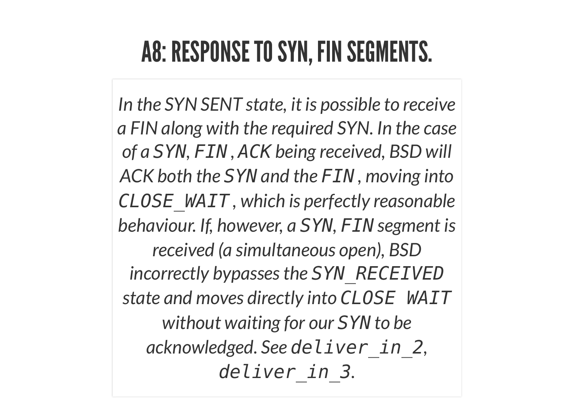#### A8: RESPONSE TO SYN, FIN SEGMENTS.

*In the SYN SENT state, it is possible to receive a FIN along with the required SYN. In the case of a SYN, FIN , ACK being received, BSD will ACK both the SYN and the FIN , moving into CLOSE\_WAIT , which is perfectly reasonable behaviour. If, however, a SYN, FIN segment is received (a simultaneous open), BSD incorrectly bypasses the SYN\_RECEIVED state and moves directly into CLOSE WAIT without waiting for our SYN to be acknowledged. See deliver\_in\_2, deliver\_in\_3.*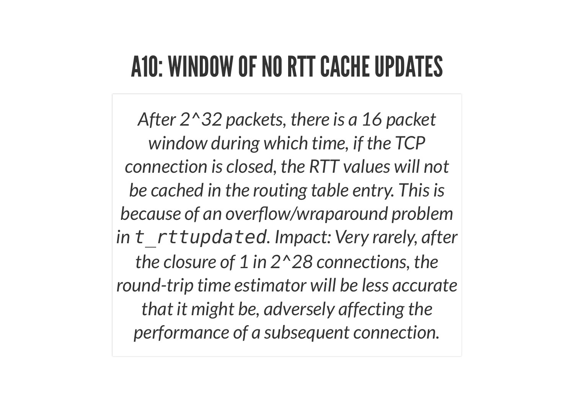#### A10: WINDOW OF NO RTT CACHE UPDATES

*After 2^32 packets, there is a 16 packet window during which time, if the TCP connection is closed, the RTT values will not be cached in the routing table entry. Thisis* **because** of an overflow/wraparound problem *in t\_rttupdated. Impact: Very rarely, after the closure of 1 in 2^28 connections, the round-trip time estimator will be less accurate that it might be, adversely affecting the performance of a subsequent connection.*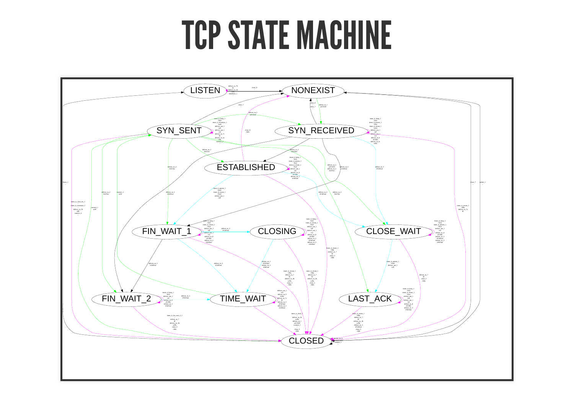#### **TCP STATE MACHINE**

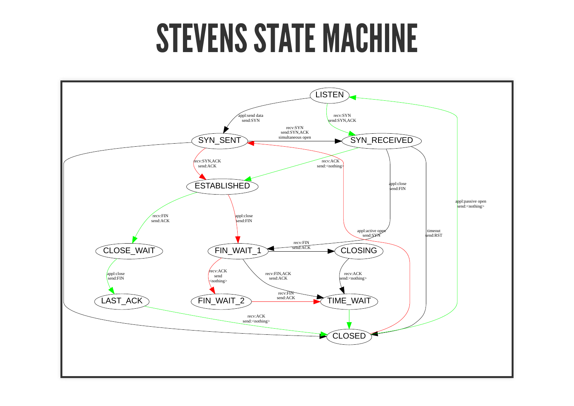#### STEVENS STATE MACHINE

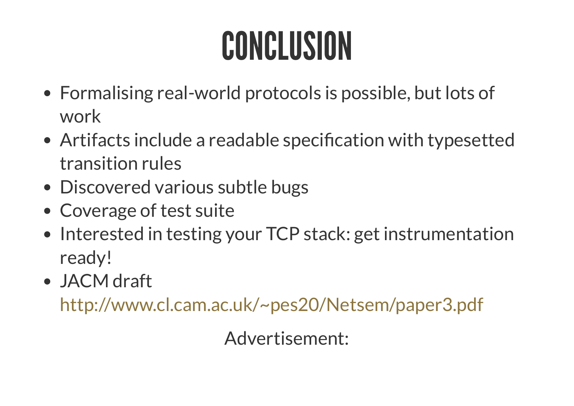## CONCLUSION

- Formalising real-world protocols is possible, but lots of work
- Artifacts include a readable specification with typesetted transition rules
- Discovered various subtle bugs
- Coverage of test suite
- Interested in testing your TCP stack: get instrumentation ready!
- JACM draft

<http://www.cl.cam.ac.uk/~pes20/Netsem/paper3.pdf>

Advertisement: